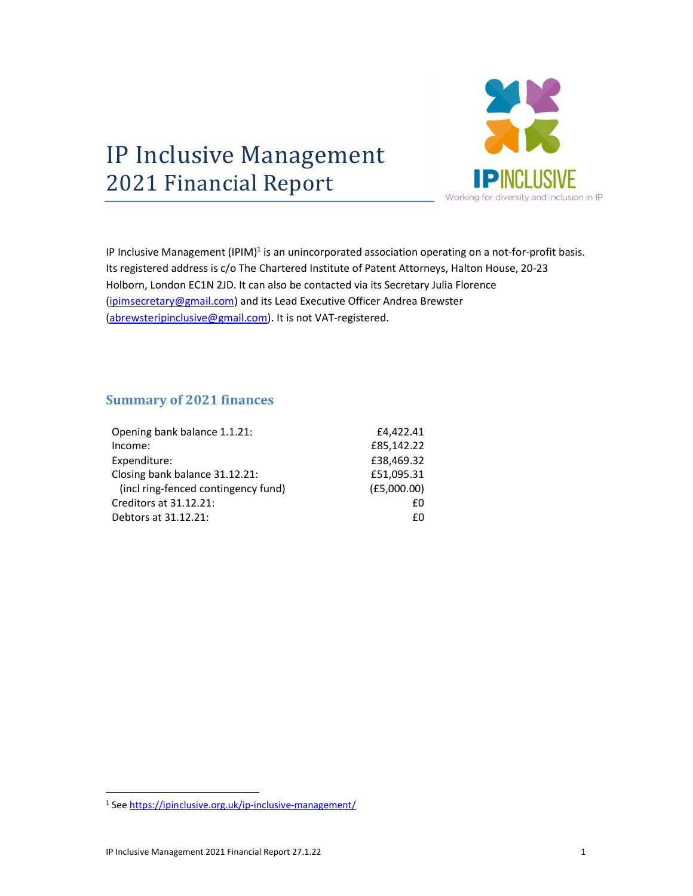

## 2021 Financial Report

IP Inclusive Management (IPIM)<sup>1</sup> is an unincorporated association operating on a not-for-profit basis. Its registered address is c/o The Chartered Institute of Patent Attorneys, Halton House, 20-23 Holborn, London EC1N 2JD. It can also be contacted via its Secretary Julia Florence (ipimsecretary@gmail.com) and its Lead Executive Officer Andrea Brewster (abrewsteripinclusive@gmail.com). It is not VAT-registered.

## Summary of 2021 finances

| Opening bank balance 1.1.21:        | £4,422.41   |
|-------------------------------------|-------------|
| Income:                             | £85,142.22  |
| Expenditure:                        | £38,469.32  |
| Closing bank balance 31.12.21:      | £51,095.31  |
| (incl ring-fenced contingency fund) | (E5,000.00) |
| Creditors at 31.12.21:              | f٥          |
| Debtors at 31.12.21:                | f٥          |

<sup>&</sup>lt;sup>1</sup> See https://ipinclusive.org.uk/ip-inclusive-management/